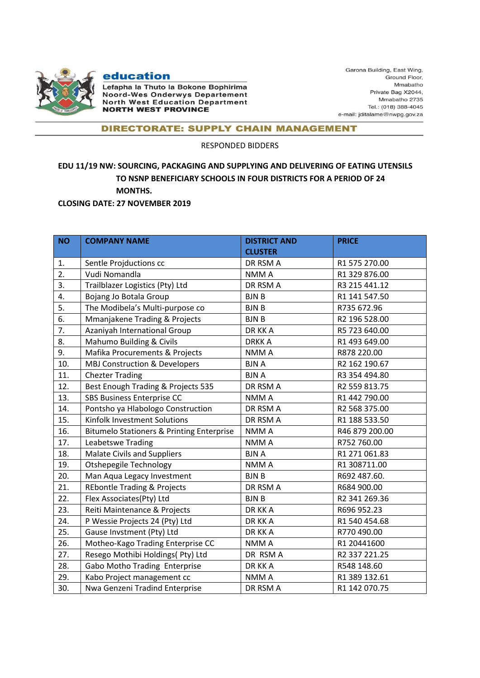

## education

Lefapha la Thuto la Bokone Bophirima Noord-Wes Onderwys Departement **North West Education Department NORTH WEST PROVINCE** 

Garona Building, East Wing, Ground Floor, Mmabatho Private Bag X2044, Mmabatho 2735 Tel.: (018) 388-4045 e-mail: jditalame@nwpg.gov.za

## **DIRECTORATE: SUPPLY CHAIN MANAGEMENT**

RESPONDED BIDDERS

## **EDU 11/19 NW: SOURCING, PACKAGING AND SUPPLYING AND DELIVERING OF EATING UTENSILS TO NSNP BENEFICIARY SCHOOLS IN FOUR DISTRICTS FOR A PERIOD OF 24 MONTHS.**

**CLOSING DATE: 27 NOVEMBER 2019**

| <b>NO</b> | <b>COMPANY NAME</b>                                  | <b>DISTRICT AND</b> | <b>PRICE</b>   |
|-----------|------------------------------------------------------|---------------------|----------------|
|           |                                                      | <b>CLUSTER</b>      |                |
| 1.        | Sentle Projductions cc                               | DR RSM A            | R1 575 270.00  |
| 2.        | Vudi Nomandla                                        | NMM A               | R1 329 876.00  |
| 3.        | Trailblazer Logistics (Pty) Ltd                      | DR RSM A            | R3 215 441.12  |
| 4.        | Bojang Jo Botala Group                               | <b>BJNB</b>         | R1 141 547.50  |
| 5.        | The Modibela's Multi-purpose co                      | <b>BJNB</b>         | R735 672.96    |
| 6.        | Mmanjakene Trading & Projects                        | <b>BJNB</b>         | R2 196 528.00  |
| 7.        | Azaniyah International Group                         | DR KK A             | R5 723 640.00  |
| 8.        | Mahumo Building & Civils                             | <b>DRKKA</b>        | R1 493 649.00  |
| 9.        | Mafika Procurements & Projects                       | NMM A               | R878 220.00    |
| 10.       | <b>MBJ Construction &amp; Developers</b>             | <b>BJNA</b>         | R2 162 190.67  |
| 11.       | <b>Chezter Trading</b>                               | <b>BJNA</b>         | R3 354 494.80  |
| 12.       | Best Enough Trading & Projects 535                   | DR RSM A            | R2 559 813.75  |
| 13.       | <b>SBS Business Enterprise CC</b>                    | NMM A               | R1 442 790.00  |
| 14.       | Pontsho ya Hlabologo Construction                    | DR RSM A            | R2 568 375.00  |
| 15.       | Kinfolk Investment Solutions                         | DR RSM A            | R1 188 533.50  |
| 16.       | <b>Bitumelo Stationers &amp; Printing Enterprise</b> | NMM A               | R46 879 200.00 |
| 17.       | Leabetswe Trading                                    | NMM A               | R752 760.00    |
| 18.       | <b>Malate Civils and Suppliers</b>                   | <b>BJNA</b>         | R1 271 061.83  |
| 19.       | <b>Otshepegile Technology</b>                        | NMM A               | R1 308711.00   |
| 20.       | Man Aqua Legacy Investment                           | <b>BJNB</b>         | R692 487.60.   |
| 21.       | <b>REbontle Trading &amp; Projects</b>               | DR RSM A            | R684 900.00    |
| 22.       | Flex Associates(Pty) Ltd                             | <b>BJNB</b>         | R2 341 269.36  |
| 23.       | Reiti Maintenance & Projects                         | DR KK A             | R696 952.23    |
| 24.       | P Wessie Projects 24 (Pty) Ltd                       | DR KK A             | R1 540 454.68  |
| 25.       | Gause Invstment (Pty) Ltd                            | DR KK A             | R770 490.00    |
| 26.       | Motheo-Kago Trading Enterprise CC                    | NMM A               | R1 20441600    |
| 27.       | Resego Mothibi Holdings( Pty) Ltd                    | DR RSM A            | R2 337 221.25  |
| 28.       | Gabo Motho Trading Enterprise                        | DR KK A             | R548 148.60    |
| 29.       | Kabo Project management cc                           | NMM A               | R1 389 132.61  |
| 30.       | Nwa Genzeni Tradind Enterprise                       | DR RSM A            | R1 142 070.75  |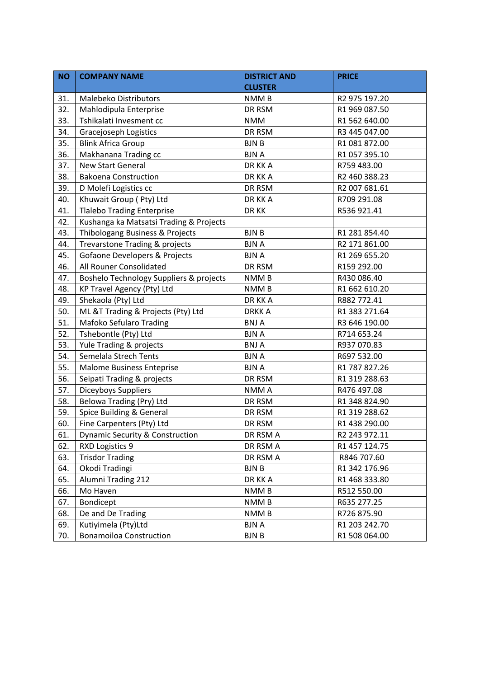| <b>NO</b> | <b>COMPANY NAME</b>                      | <b>DISTRICT AND</b> | <b>PRICE</b>  |
|-----------|------------------------------------------|---------------------|---------------|
|           |                                          | <b>CLUSTER</b>      |               |
| 31.       | <b>Malebeko Distributors</b>             | NMM <sub>B</sub>    | R2 975 197.20 |
| 32.       | Mahlodipula Enterprise                   | DR RSM              | R1 969 087.50 |
| 33.       | Tshikalati Invesment cc                  | <b>NMM</b>          | R1 562 640.00 |
| 34.       | Gracejoseph Logistics                    | DR RSM              | R3 445 047.00 |
| 35.       | <b>Blink Africa Group</b>                | <b>BJNB</b>         | R1 081 872.00 |
| 36.       | Makhanana Trading cc                     | <b>BJNA</b>         | R1 057 395.10 |
| 37.       | <b>New Start General</b>                 | DR KK A             | R759 483.00   |
| 38.       | <b>Bakoena Construction</b>              | DR KK A             | R2 460 388.23 |
| 39.       | D Molefi Logistics cc                    | DR RSM              | R2 007 681.61 |
| 40.       | Khuwait Group (Pty) Ltd                  | DR KK A             | R709 291.08   |
| 41.       | <b>Tlalebo Trading Enterprise</b>        | DR KK               | R536 921.41   |
| 42.       | Kushanga ka Matsatsi Trading & Projects  |                     |               |
| 43.       | Thibologang Business & Projects          | <b>BJNB</b>         | R1 281 854.40 |
| 44.       | Trevarstone Trading & projects           | <b>BJNA</b>         | R2 171 861.00 |
| 45.       | <b>Gofaone Developers &amp; Projects</b> | <b>BJNA</b>         | R1 269 655.20 |
| 46.       | All Rouner Consolidated                  | DR RSM              | R159 292.00   |
| 47.       | Boshelo Technology Suppliers & projects  | NMM <sub>B</sub>    | R430 086.40   |
| 48.       | KP Travel Agency (Pty) Ltd               | <b>NMMB</b>         | R1 662 610.20 |
| 49.       | Shekaola (Pty) Ltd                       | DR KK A             | R882 772.41   |
| 50.       | ML &T Trading & Projects (Pty) Ltd       | <b>DRKKA</b>        | R1 383 271.64 |
| 51.       | Mafoko Sefularo Trading                  | <b>BNJA</b>         | R3 646 190.00 |
| 52.       | Tshebontle (Pty) Ltd                     | <b>BJNA</b>         | R714 653.24   |
| 53.       | Yule Trading & projects                  | <b>BNJA</b>         | R937 070.83   |
| 54.       | Semelala Strech Tents                    | <b>BJNA</b>         | R697 532.00   |
| 55.       | <b>Malome Business Enteprise</b>         | <b>BJNA</b>         | R1 787 827.26 |
| 56.       | Seipati Trading & projects               | DR RSM              | R1 319 288.63 |
| 57.       | Diceyboys Suppliers                      | NMM A               | R476 497.08   |
| 58.       | Belowa Trading (Pry) Ltd                 | DR RSM              | R1 348 824.90 |
| 59.       | Spice Building & General                 | DR RSM              | R1 319 288.62 |
| 60.       | Fine Carpenters (Pty) Ltd                | DR RSM              | R1 438 290.00 |
| 61.       | Dynamic Security & Construction          | DR RSM A            | R2 243 972.11 |
| 62.       | RXD Logistics 9                          | DR RSM A            | R1 457 124.75 |
| 63.       | <b>Trisdor Trading</b>                   | DR RSM A            | R846 707.60   |
| 64.       | Okodi Tradingi                           | <b>BJNB</b>         | R1 342 176.96 |
| 65.       | <b>Alumni Trading 212</b>                | DR KK A             | R1 468 333.80 |
| 66.       | Mo Haven                                 | NMM <sub>B</sub>    | R512 550.00   |
| 67.       | Bondicept                                | NMM <sub>B</sub>    | R635 277.25   |
| 68.       | De and De Trading                        | NMM <sub>B</sub>    | R726 875.90   |
| 69.       | Kutiyimela (Pty)Ltd                      | <b>BJNA</b>         | R1 203 242.70 |
| 70.       | <b>Bonamoiloa Construction</b>           | <b>BJNB</b>         | R1 508 064.00 |